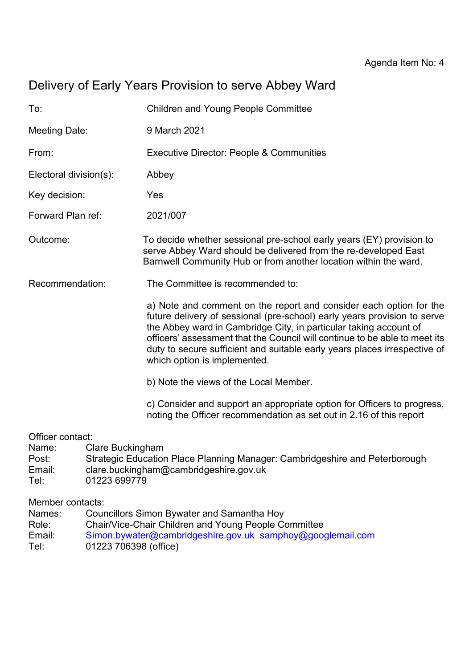# Delivery of Early Years Provision to serve Abbey Ward

| To:                    | <b>Children and Young People Committee</b>                                                                                                                                                                                                                                                                                                                                                                     |
|------------------------|----------------------------------------------------------------------------------------------------------------------------------------------------------------------------------------------------------------------------------------------------------------------------------------------------------------------------------------------------------------------------------------------------------------|
| Meeting Date:          | 9 March 2021                                                                                                                                                                                                                                                                                                                                                                                                   |
| From:                  | <b>Executive Director: People &amp; Communities</b>                                                                                                                                                                                                                                                                                                                                                            |
| Electoral division(s): | Abbey                                                                                                                                                                                                                                                                                                                                                                                                          |
| Key decision:          | Yes                                                                                                                                                                                                                                                                                                                                                                                                            |
| Forward Plan ref:      | 2021/007                                                                                                                                                                                                                                                                                                                                                                                                       |
| Outcome:               | To decide whether sessional pre-school early years (EY) provision to<br>serve Abbey Ward should be delivered from the re-developed East<br>Barnwell Community Hub or from another location within the ward.                                                                                                                                                                                                    |
| Recommendation:        | The Committee is recommended to:                                                                                                                                                                                                                                                                                                                                                                               |
|                        | a) Note and comment on the report and consider each option for the<br>future delivery of sessional (pre-school) early years provision to serve<br>the Abbey ward in Cambridge City, in particular taking account of<br>officers' assessment that the Council will continue to be able to meet its<br>duty to secure sufficient and suitable early years places irrespective of<br>which option is implemented. |
|                        | b) Note the views of the Local Member.                                                                                                                                                                                                                                                                                                                                                                         |
|                        | c) Consider and support an appropriate option for Officers to progress,<br>noting the Officer recommendation as set out in 2.16 of this report                                                                                                                                                                                                                                                                 |
| Officer contact:       |                                                                                                                                                                                                                                                                                                                                                                                                                |

- Name: Clare Buckingham
- Post: Strategic Education Place Planning Manager: Cambridgeshire and Peterborough<br>Email: clare.buckingham@cambridgeshire.gov.uk
- Email: clare.buckingham@cambridgeshire.gov.uk
- Tel: 01223 699779

Member contacts:

- Names: Councillors Simon Bywater and Samantha Hoy
- Role: Chair/Vice-Chair Children and Young People Committee
- Email: [Simon.bywater@cambridgeshire.gov.uk](mailto:Simon.bywater@cambridgeshire.gov.uk) [samphoy@googlemail.com](mailto:samphoy@googlemail.com)
- Tel: 01223 706398 (office)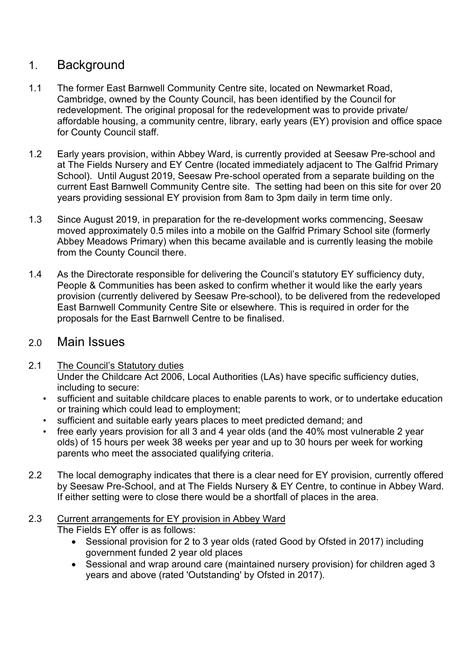## 1. Background

- 1.1 The former East Barnwell Community Centre site, located on Newmarket Road, Cambridge, owned by the County Council, has been identified by the Council for redevelopment. The original proposal for the redevelopment was to provide private/ affordable housing, a community centre, library, early years (EY) provision and office space for County Council staff.
- 1.2 Early years provision, within Abbey Ward, is currently provided at Seesaw Pre-school and at The Fields Nursery and EY Centre (located immediately adjacent to The Galfrid Primary School). Until August 2019, Seesaw Pre-school operated from a separate building on the current East Barnwell Community Centre site. The setting had been on this site for over 20 years providing sessional EY provision from 8am to 3pm daily in term time only.
- 1.3 Since August 2019, in preparation for the re-development works commencing, Seesaw moved approximately 0.5 miles into a mobile on the Galfrid Primary School site (formerly Abbey Meadows Primary) when this became available and is currently leasing the mobile from the County Council there.
- 1.4 As the Directorate responsible for delivering the Council's statutory EY sufficiency duty, People & Communities has been asked to confirm whether it would like the early years provision (currently delivered by Seesaw Pre-school), to be delivered from the redeveloped East Barnwell Community Centre Site or elsewhere. This is required in order for the proposals for the East Barnwell Centre to be finalised.

## 2.0 Main Issues

- 2.1 The Council's Statutory duties Under the Childcare Act 2006, Local Authorities (LAs) have specific sufficiency duties, including to secure:
	- sufficient and suitable childcare places to enable parents to work, or to undertake education or training which could lead to employment;
	- sufficient and suitable early years places to meet predicted demand; and
	- free early years provision for all 3 and 4 year olds (and the 40% most vulnerable 2 year olds) of 15 hours per week 38 weeks per year and up to 30 hours per week for working parents who meet the associated qualifying criteria.
- 2.2 The local demography indicates that there is a clear need for EY provision, currently offered by Seesaw Pre-School, and at The Fields Nursery & EY Centre, to continue in Abbey Ward. If either setting were to close there would be a shortfall of places in the area.

#### 2.3 Current arrangements for EY provision in Abbey Ward The Fields EY offer is as follows:

- Sessional provision for 2 to 3 year olds (rated Good by Ofsted in 2017) including government funded 2 year old places
- Sessional and wrap around care (maintained nursery provision) for children aged 3 years and above (rated 'Outstanding' by Ofsted in 2017).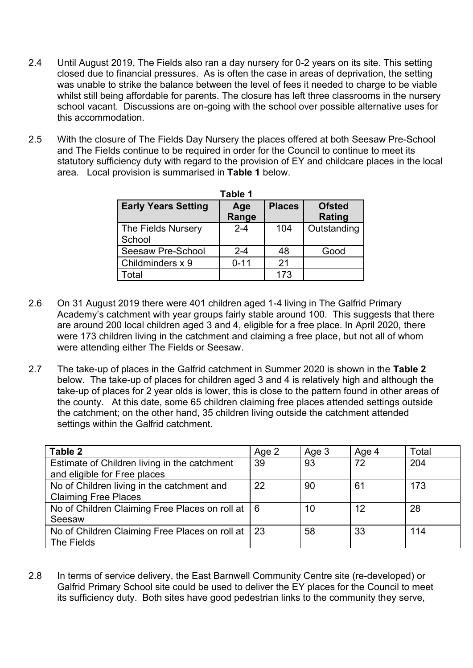- 2.4 Until August 2019, The Fields also ran a day nursery for 0-2 years on its site. This setting closed due to financial pressures. As is often the case in areas of deprivation, the setting was unable to strike the balance between the level of fees it needed to charge to be viable whilst still being affordable for parents. The closure has left three classrooms in the nursery school vacant. Discussions are on-going with the school over possible alternative uses for this accommodation.
- 2.5 With the closure of The Fields Day Nursery the places offered at both Seesaw Pre-School and The Fields continue to be required in order for the Council to continue to meet its statutory sufficiency duty with regard to the provision of EY and childcare places in the local area. Local provision is summarised in **Table 1** below.

|                              | Table 1      |               |                         |
|------------------------------|--------------|---------------|-------------------------|
| <b>Early Years Setting</b>   | Age<br>Range | <b>Places</b> | <b>Ofsted</b><br>Rating |
| The Fields Nursery<br>School | $2 - 4$      | 104           | Outstanding             |
| Seesaw Pre-School            | $2 - 4$      | 48            | Good                    |
| Childminders x 9             | $0 - 11$     | 21            |                         |
| Гоtal                        |              | 173           |                         |

- 2.6 On 31 August 2019 there were 401 children aged 1-4 living in The Galfrid Primary Academy's catchment with year groups fairly stable around 100. This suggests that there are around 200 local children aged 3 and 4, eligible for a free place. In April 2020, there were 173 children living in the catchment and claiming a free place, but not all of whom were attending either The Fields or Seesaw.
- 2.7 The take-up of places in the Galfrid catchment in Summer 2020 is shown in the **Table 2** below. The take-up of places for children aged 3 and 4 is relatively high and although the take-up of places for 2 year olds is lower, this is close to the pattern found in other areas of the county. At this date, some 65 children claiming free places attended settings outside the catchment; on the other hand, 35 children living outside the catchment attended settings within the Galfrid catchment.

| Table 2                                            | Age 2 | Age 3 | Age 4 | Total |
|----------------------------------------------------|-------|-------|-------|-------|
| Estimate of Children living in the catchment       | 39    | 93    | 72    | 204   |
| and eligible for Free places                       |       |       |       |       |
| No of Children living in the catchment and         | 22    | 90    | 61    | 173   |
| <b>Claiming Free Places</b>                        |       |       |       |       |
| No of Children Claiming Free Places on roll at   6 |       | 10    | 12    | 28    |
| Seesaw                                             |       |       |       |       |
| No of Children Claiming Free Places on roll at     | 23    | 58    | 33    | 114   |
| The Fields                                         |       |       |       |       |

2.8 In terms of service delivery, the East Barnwell Community Centre site (re-developed) or Galfrid Primary School site could be used to deliver the EY places for the Council to meet its sufficiency duty. Both sites have good pedestrian links to the community they serve,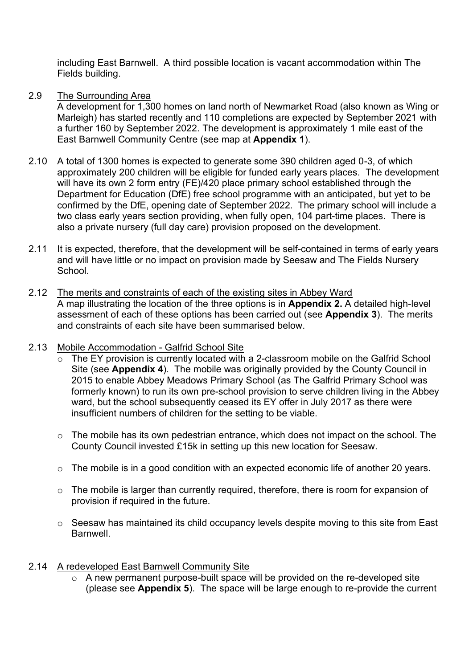including East Barnwell. A third possible location is vacant accommodation within The Fields building.

#### 2.9 The Surrounding Area

A development for 1,300 homes on land north of Newmarket Road (also known as Wing or Marleigh) has started recently and 110 completions are expected by September 2021 with a further 160 by September 2022. The development is approximately 1 mile east of the East Barnwell Community Centre (see map at **Appendix 1**).

- 2.10 A total of 1300 homes is expected to generate some 390 children aged 0-3, of which approximately 200 children will be eligible for funded early years places. The development will have its own 2 form entry (FE)/420 place primary school established through the Department for Education (DfE) free school programme with an anticipated, but yet to be confirmed by the DfE, opening date of September 2022. The primary school will include a two class early years section providing, when fully open, 104 part-time places. There is also a private nursery (full day care) provision proposed on the development.
- 2.11 It is expected, therefore, that the development will be self-contained in terms of early vears and will have little or no impact on provision made by Seesaw and The Fields Nursery School.
- 2.12 The merits and constraints of each of the existing sites in Abbey Ward A map illustrating the location of the three options is in **Appendix 2.** A detailed high-level assessment of each of these options has been carried out (see **Appendix 3**). The merits and constraints of each site have been summarised below.
- 2.13 Mobile Accommodation Galfrid School Site
	- o The EY provision is currently located with a 2-classroom mobile on the Galfrid School Site (see **Appendix 4**). The mobile was originally provided by the County Council in 2015 to enable Abbey Meadows Primary School (as The Galfrid Primary School was formerly known) to run its own pre-school provision to serve children living in the Abbey ward, but the school subsequently ceased its EY offer in July 2017 as there were insufficient numbers of children for the setting to be viable.
	- o The mobile has its own pedestrian entrance, which does not impact on the school. The County Council invested £15k in setting up this new location for Seesaw.
	- o The mobile is in a good condition with an expected economic life of another 20 years.
	- o The mobile is larger than currently required, therefore, there is room for expansion of provision if required in the future.
	- o Seesaw has maintained its child occupancy levels despite moving to this site from East Barnwell.

#### 2.14 A redeveloped East Barnwell Community Site

 $\circ$  A new permanent purpose-built space will be provided on the re-developed site (please see **Appendix 5**). The space will be large enough to re-provide the current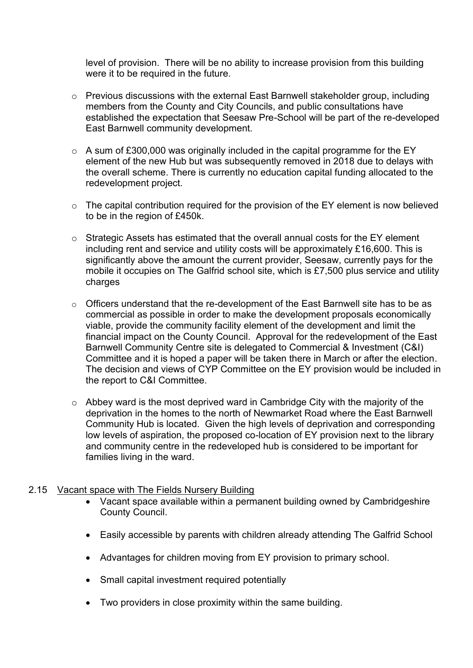level of provision. There will be no ability to increase provision from this building were it to be required in the future.

- o Previous discussions with the external East Barnwell stakeholder group, including members from the County and City Councils, and public consultations have established the expectation that Seesaw Pre-School will be part of the re-developed East Barnwell community development.
- $\circ$  A sum of £300,000 was originally included in the capital programme for the EY element of the new Hub but was subsequently removed in 2018 due to delays with the overall scheme. There is currently no education capital funding allocated to the redevelopment project.
- o The capital contribution required for the provision of the EY element is now believed to be in the region of £450k.
- o Strategic Assets has estimated that the overall annual costs for the EY element including rent and service and utility costs will be approximately £16,600. This is significantly above the amount the current provider, Seesaw, currently pays for the mobile it occupies on The Galfrid school site, which is £7,500 plus service and utility charges
- o Officers understand that the re-development of the East Barnwell site has to be as commercial as possible in order to make the development proposals economically viable, provide the community facility element of the development and limit the financial impact on the County Council. Approval for the redevelopment of the East Barnwell Community Centre site is delegated to Commercial & Investment (C&I) Committee and it is hoped a paper will be taken there in March or after the election. The decision and views of CYP Committee on the EY provision would be included in the report to C&I Committee.
- o Abbey ward is the most deprived ward in Cambridge City with the majority of the deprivation in the homes to the north of Newmarket Road where the East Barnwell Community Hub is located. Given the high levels of deprivation and corresponding low levels of aspiration, the proposed co-location of EY provision next to the library and community centre in the redeveloped hub is considered to be important for families living in the ward.

#### 2.15 Vacant space with The Fields Nursery Building

- Vacant space available within a permanent building owned by Cambridgeshire County Council.
- Easily accessible by parents with children already attending The Galfrid School
- Advantages for children moving from EY provision to primary school.
- Small capital investment required potentially
- Two providers in close proximity within the same building.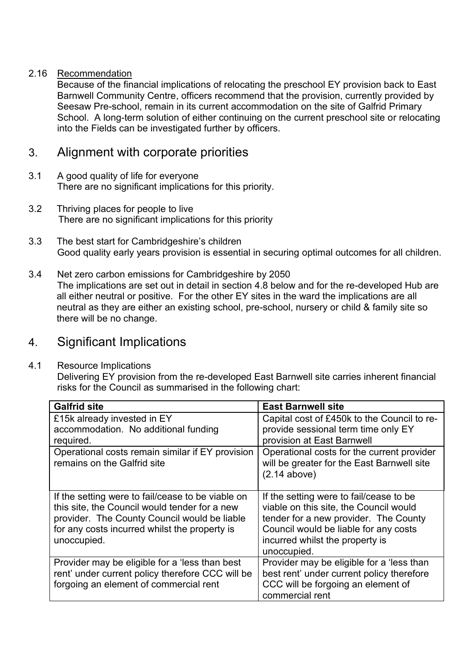### 2.16 Recommendation

 Because of the financial implications of relocating the preschool EY provision back to East Barnwell Community Centre, officers recommend that the provision, currently provided by Seesaw Pre-school, remain in its current accommodation on the site of Galfrid Primary School. A long-term solution of either continuing on the current preschool site or relocating into the Fields can be investigated further by officers.

## 3. Alignment with corporate priorities

- 3.1 A good quality of life for everyone There are no significant implications for this priority.
- 3.2 Thriving places for people to live There are no significant implications for this priority
- 3.3 The best start for Cambridgeshire's children Good quality early years provision is essential in securing optimal outcomes for all children.
- 3.4 Net zero carbon emissions for Cambridgeshire by 2050 The implications are set out in detail in section 4.8 below and for the re-developed Hub are all either neutral or positive. For the other EY sites in the ward the implications are all neutral as they are either an existing school, pre-school, nursery or child & family site so there will be no change.

## 4. Significant Implications

#### 4.1 Resource Implications

Delivering EY provision from the re-developed East Barnwell site carries inherent financial risks for the Council as summarised in the following chart:

| <b>Galfrid site</b>                                                                                                                                                                                                | <b>East Barnwell site</b>                                                                                                                                                                                             |
|--------------------------------------------------------------------------------------------------------------------------------------------------------------------------------------------------------------------|-----------------------------------------------------------------------------------------------------------------------------------------------------------------------------------------------------------------------|
| £15k already invested in EY<br>accommodation. No additional funding<br>required.                                                                                                                                   | Capital cost of £450k to the Council to re-<br>provide sessional term time only EY<br>provision at East Barnwell                                                                                                      |
| Operational costs remain similar if EY provision<br>remains on the Galfrid site                                                                                                                                    | Operational costs for the current provider<br>will be greater for the East Barnwell site<br>$(2.14$ above)                                                                                                            |
| If the setting were to fail/cease to be viable on<br>this site, the Council would tender for a new<br>provider. The County Council would be liable<br>for any costs incurred whilst the property is<br>unoccupied. | If the setting were to fail/cease to be<br>viable on this site, the Council would<br>tender for a new provider. The County<br>Council would be liable for any costs<br>incurred whilst the property is<br>unoccupied. |
| Provider may be eligible for a 'less than best<br>rent' under current policy therefore CCC will be<br>forgoing an element of commercial rent                                                                       | Provider may be eligible for a 'less than<br>best rent' under current policy therefore<br>CCC will be forgoing an element of<br>commercial rent                                                                       |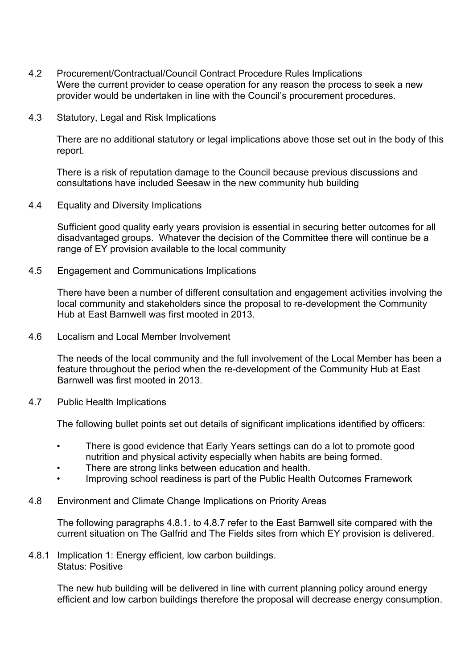- 4.2 Procurement/Contractual/Council Contract Procedure Rules Implications Were the current provider to cease operation for any reason the process to seek a new provider would be undertaken in line with the Council's procurement procedures.
- 4.3 Statutory, Legal and Risk Implications

There are no additional statutory or legal implications above those set out in the body of this report.

There is a risk of reputation damage to the Council because previous discussions and consultations have included Seesaw in the new community hub building

4.4 Equality and Diversity Implications

Sufficient good quality early years provision is essential in securing better outcomes for all disadvantaged groups. Whatever the decision of the Committee there will continue be a range of EY provision available to the local community

4.5 Engagement and Communications Implications

There have been a number of different consultation and engagement activities involving the local community and stakeholders since the proposal to re-development the Community Hub at East Barnwell was first mooted in 2013.

4.6 Localism and Local Member Involvement

The needs of the local community and the full involvement of the Local Member has been a feature throughout the period when the re-development of the Community Hub at East Barnwell was first mooted in 2013.

4.7 Public Health Implications

The following bullet points set out details of significant implications identified by officers:

- There is good evidence that Early Years settings can do a lot to promote good nutrition and physical activity especially when habits are being formed.
- There are strong links between education and health.
- Improving school readiness is part of the Public Health Outcomes Framework
- 4.8 Environment and Climate Change Implications on Priority Areas

 The following paragraphs 4.8.1. to 4.8.7 refer to the East Barnwell site compared with the current situation on The Galfrid and The Fields sites from which EY provision is delivered.

4.8.1 Implication 1: Energy efficient, low carbon buildings. Status: Positive

> The new hub building will be delivered in line with current planning policy around energy efficient and low carbon buildings therefore the proposal will decrease energy consumption.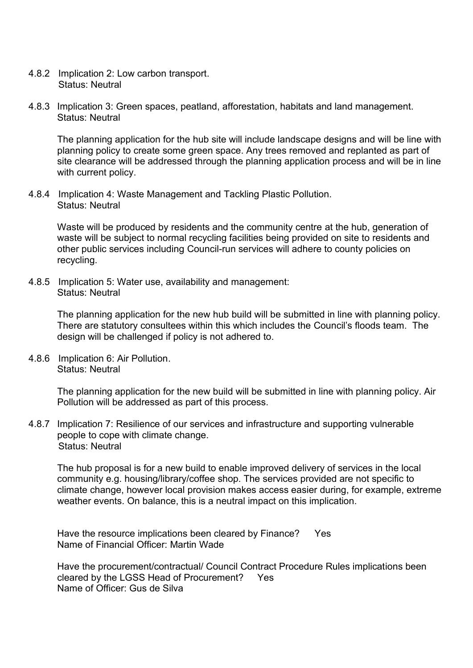- 4.8.2 Implication 2: Low carbon transport. Status: Neutral
- 4.8.3 Implication 3: Green spaces, peatland, afforestation, habitats and land management. Status: Neutral

The planning application for the hub site will include landscape designs and will be line with planning policy to create some green space. Any trees removed and replanted as part of site clearance will be addressed through the planning application process and will be in line with current policy.

4.8.4 Implication 4: Waste Management and Tackling Plastic Pollution. Status: Neutral

Waste will be produced by residents and the community centre at the hub, generation of waste will be subject to normal recycling facilities being provided on site to residents and other public services including Council-run services will adhere to county policies on recycling.

4.8.5 Implication 5: Water use, availability and management: Status: Neutral

> The planning application for the new hub build will be submitted in line with planning policy. There are statutory consultees within this which includes the Council's floods team. The design will be challenged if policy is not adhered to.

4.8.6 Implication 6: Air Pollution. Status: Neutral

> The planning application for the new build will be submitted in line with planning policy. Air Pollution will be addressed as part of this process.

4.8.7 Implication 7: Resilience of our services and infrastructure and supporting vulnerable people to cope with climate change. Status: Neutral

The hub proposal is for a new build to enable improved delivery of services in the local community e.g. housing/library/coffee shop. The services provided are not specific to climate change, however local provision makes access easier during, for example, extreme weather events. On balance, this is a neutral impact on this implication.

Have the resource implications been cleared by Finance? Yes Name of Financial Officer: Martin Wade

Have the procurement/contractual/ Council Contract Procedure Rules implications been cleared by the LGSS Head of Procurement? Yes Name of Officer: Gus de Silva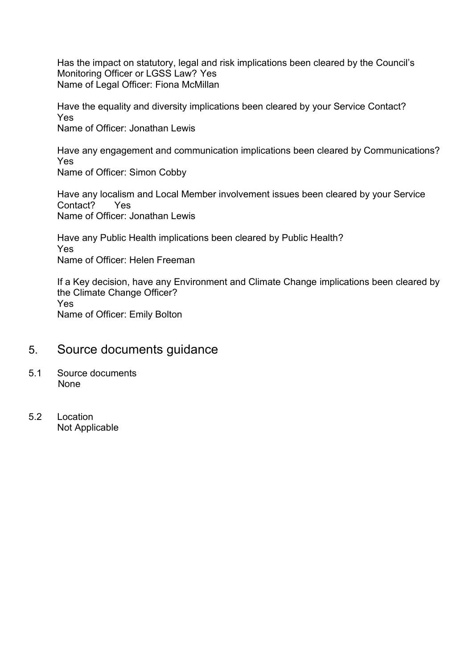Has the impact on statutory, legal and risk implications been cleared by the Council's Monitoring Officer or LGSS Law? Yes Name of Legal Officer: Fiona McMillan

Have the equality and diversity implications been cleared by your Service Contact? Yes Name of Officer: Jonathan Lewis

Have any engagement and communication implications been cleared by Communications? Yes

Name of Officer: Simon Cobby

Have any localism and Local Member involvement issues been cleared by your Service Contact? Yes Name of Officer: Jonathan Lewis

Have any Public Health implications been cleared by Public Health? Yes Name of Officer: Helen Freeman

If a Key decision, have any Environment and Climate Change implications been cleared by the Climate Change Officer? Yes Name of Officer: Emily Bolton

## 5. Source documents guidance

- 5.1 Source documents None
- 5.2 Location Not Applicable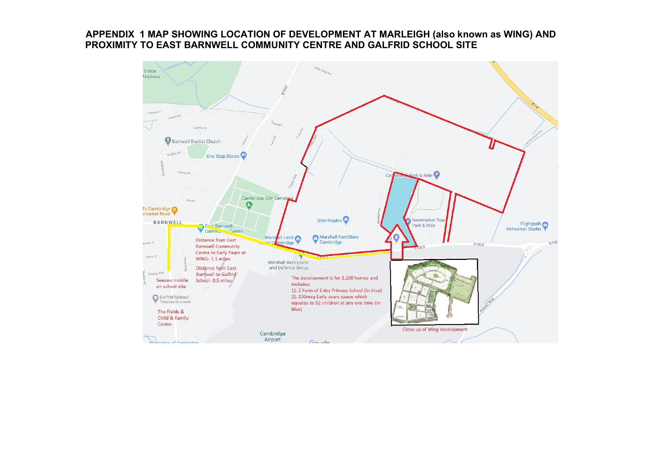#### **APPENDIX 1 MAP SHOWING LOCATION OF DEVELOPMENT AT MARLEIGH (also known as WING) AND PROXIMITY TO EAST BARNWELL COMMUNITY CENTRE AND GALFRID SCHOOL SITE**

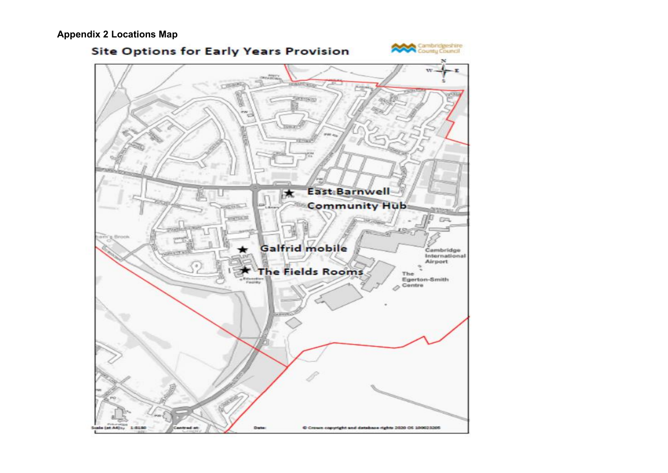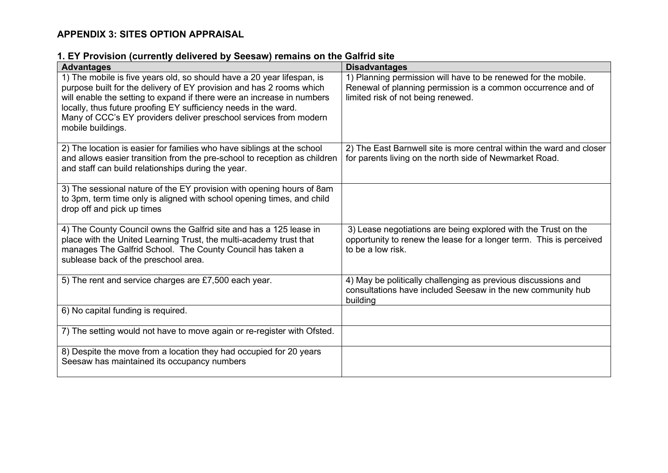### **APPENDIX 3: SITES OPTION APPRAISAL**

### **1. EY Provision (currently delivered by Seesaw) remains on the Galfrid site**

| ----- <i>-</i> ----<br>---------<br><b>Advantages</b>                                                                                                                                                                                                                                                                                                                                 | <b>Disadvantages</b>                                                                                                                                                 |
|---------------------------------------------------------------------------------------------------------------------------------------------------------------------------------------------------------------------------------------------------------------------------------------------------------------------------------------------------------------------------------------|----------------------------------------------------------------------------------------------------------------------------------------------------------------------|
| 1) The mobile is five years old, so should have a 20 year lifespan, is<br>purpose built for the delivery of EY provision and has 2 rooms which<br>will enable the setting to expand if there were an increase in numbers<br>locally, thus future proofing EY sufficiency needs in the ward.<br>Many of CCC's EY providers deliver preschool services from modern<br>mobile buildings. | 1) Planning permission will have to be renewed for the mobile.<br>Renewal of planning permission is a common occurrence and of<br>limited risk of not being renewed. |
| 2) The location is easier for families who have siblings at the school<br>and allows easier transition from the pre-school to reception as children<br>and staff can build relationships during the year.                                                                                                                                                                             | 2) The East Barnwell site is more central within the ward and closer<br>for parents living on the north side of Newmarket Road.                                      |
| 3) The sessional nature of the EY provision with opening hours of 8am<br>to 3pm, term time only is aligned with school opening times, and child<br>drop off and pick up times                                                                                                                                                                                                         |                                                                                                                                                                      |
| 4) The County Council owns the Galfrid site and has a 125 lease in<br>place with the United Learning Trust, the multi-academy trust that<br>manages The Galfrid School. The County Council has taken a<br>sublease back of the preschool area.                                                                                                                                        | 3) Lease negotiations are being explored with the Trust on the<br>opportunity to renew the lease for a longer term. This is perceived<br>to be a low risk.           |
| 5) The rent and service charges are £7,500 each year.                                                                                                                                                                                                                                                                                                                                 | 4) May be politically challenging as previous discussions and<br>consultations have included Seesaw in the new community hub<br>building                             |
| 6) No capital funding is required.                                                                                                                                                                                                                                                                                                                                                    |                                                                                                                                                                      |
| 7) The setting would not have to move again or re-register with Ofsted.                                                                                                                                                                                                                                                                                                               |                                                                                                                                                                      |
| 8) Despite the move from a location they had occupied for 20 years<br>Seesaw has maintained its occupancy numbers                                                                                                                                                                                                                                                                     |                                                                                                                                                                      |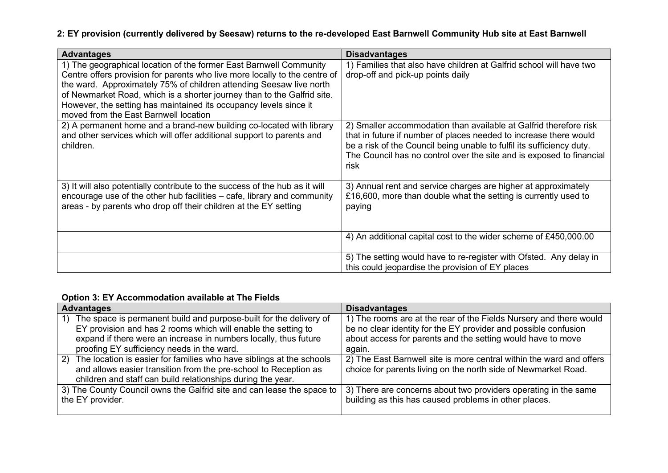### **2: EY provision (currently delivered by Seesaw) returns to the re-developed East Barnwell Community Hub site at East Barnwell**

| <b>Advantages</b>                                                                                                                                                                                                                                                                                                                                                                                                | <b>Disadvantages</b>                                                                                                                                                                                                                                                                            |
|------------------------------------------------------------------------------------------------------------------------------------------------------------------------------------------------------------------------------------------------------------------------------------------------------------------------------------------------------------------------------------------------------------------|-------------------------------------------------------------------------------------------------------------------------------------------------------------------------------------------------------------------------------------------------------------------------------------------------|
| 1) The geographical location of the former East Barnwell Community<br>Centre offers provision for parents who live more locally to the centre of<br>the ward. Approximately 75% of children attending Seesaw live north<br>of Newmarket Road, which is a shorter journey than to the Galfrid site.<br>However, the setting has maintained its occupancy levels since it<br>moved from the East Barnwell location | 1) Families that also have children at Galfrid school will have two<br>drop-off and pick-up points daily                                                                                                                                                                                        |
| 2) A permanent home and a brand-new building co-located with library<br>and other services which will offer additional support to parents and<br>children.                                                                                                                                                                                                                                                       | 2) Smaller accommodation than available at Galfrid therefore risk<br>that in future if number of places needed to increase there would<br>be a risk of the Council being unable to fulfil its sufficiency duty.<br>The Council has no control over the site and is exposed to financial<br>risk |
| 3) It will also potentially contribute to the success of the hub as it will<br>encourage use of the other hub facilities – cafe, library and community<br>areas - by parents who drop off their children at the EY setting                                                                                                                                                                                       | 3) Annual rent and service charges are higher at approximately<br>£16,600, more than double what the setting is currently used to<br>paying                                                                                                                                                     |
|                                                                                                                                                                                                                                                                                                                                                                                                                  | 4) An additional capital cost to the wider scheme of £450,000.00                                                                                                                                                                                                                                |
|                                                                                                                                                                                                                                                                                                                                                                                                                  | 5) The setting would have to re-register with Ofsted. Any delay in<br>this could jeopardise the provision of EY places                                                                                                                                                                          |

### **Option 3: EY Accommodation available at The Fields**

| <b>Advantages</b>                                                                                                                                                                                                                                           | <b>Disadvantages</b>                                                                                                                                                                                           |
|-------------------------------------------------------------------------------------------------------------------------------------------------------------------------------------------------------------------------------------------------------------|----------------------------------------------------------------------------------------------------------------------------------------------------------------------------------------------------------------|
| The space is permanent build and purpose-built for the delivery of<br>1)<br>EY provision and has 2 rooms which will enable the setting to<br>expand if there were an increase in numbers locally, thus future<br>proofing EY sufficiency needs in the ward. | 1) The rooms are at the rear of the Fields Nursery and there would<br>be no clear identity for the EY provider and possible confusion<br>about access for parents and the setting would have to move<br>again. |
| The location is easier for families who have siblings at the schools<br>(2)<br>and allows easier transition from the pre-school to Reception as<br>children and staff can build relationships during the year.                                              | 2) The East Barnwell site is more central within the ward and offers<br>choice for parents living on the north side of Newmarket Road.                                                                         |
| 3) The County Council owns the Galfrid site and can lease the space to<br>the EY provider.                                                                                                                                                                  | 3) There are concerns about two providers operating in the same<br>building as this has caused problems in other places.                                                                                       |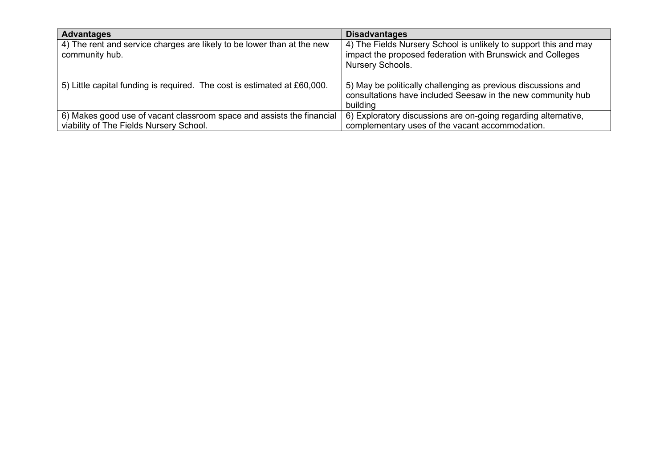| <b>Advantages</b>                                                                                                | <b>Disadvantages</b>                                                                                                                               |
|------------------------------------------------------------------------------------------------------------------|----------------------------------------------------------------------------------------------------------------------------------------------------|
| 4) The rent and service charges are likely to be lower than at the new<br>community hub.                         | 4) The Fields Nursery School is unlikely to support this and may<br>impact the proposed federation with Brunswick and Colleges<br>Nursery Schools. |
| 5) Little capital funding is required. The cost is estimated at £60,000.                                         | 5) May be politically challenging as previous discussions and<br>consultations have included Seesaw in the new community hub<br>building           |
| 6) Makes good use of vacant classroom space and assists the financial<br>viability of The Fields Nursery School. | 6) Exploratory discussions are on-going regarding alternative,<br>complementary uses of the vacant accommodation.                                  |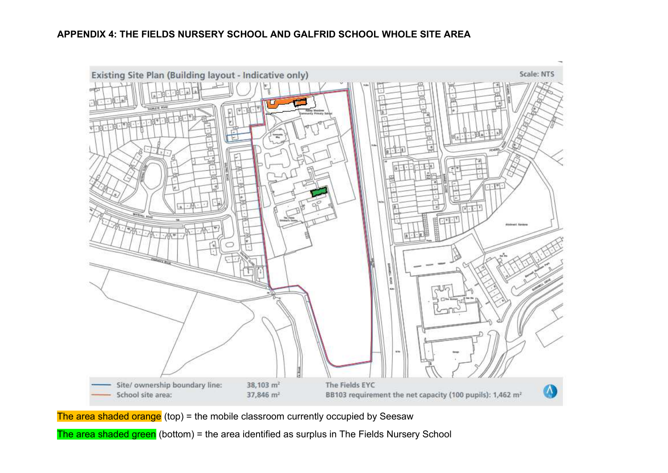

The area shaded orange (top) = the mobile classroom currently occupied by Seesaw

The area shaded green (bottom) = the area identified as surplus in The Fields Nursery School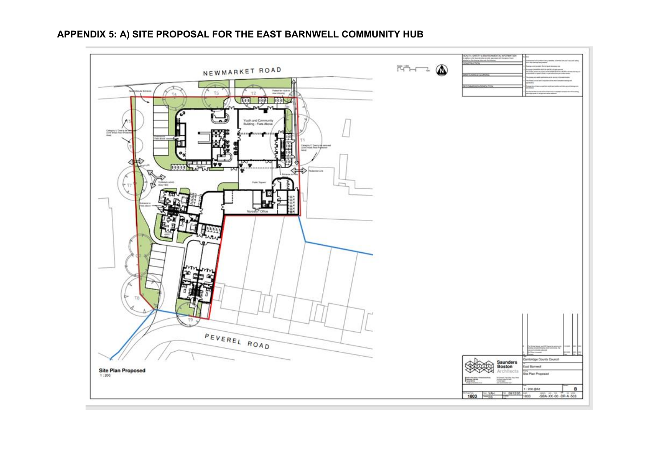# to benefit a financial price mittable. NEWMARKET ROAD  $\begin{picture}(20,5) \put(0,0) {\line(1,0){10}} \put(15,0) {\line(1,0){10}} \put(15,0) {\line(1,0){10}} \put(15,0) {\line(1,0){10}} \put(15,0) {\line(1,0){10}} \put(15,0) {\line(1,0){10}} \put(15,0) {\line(1,0){10}} \put(15,0) {\line(1,0){10}} \put(15,0) {\line(1,0){10}} \put(15,0) {\line(1,0){10}} \put(15,0) {\line(1,0){10}} \put(15,0) {\line(1,$  $T3$  $72$  $\tau_A$ 2000 000 000 Youth and Commu<br>Building - Flats Ab `v  $\Leftrightarrow$ 业 PEVEREL ROAD **Idge County Co.** Saunders<br>Boston **Last Barrowell** Site Plan Proposed **Architects Sta Plan Proposed**  $\frac{1}{16}$ E 200 QAT  $\mathbf{B}$ 1803 WH - 091230 1803 - 58A-XX-00-09-A-503

### **APPENDIX 5: A) SITE PROPOSAL FOR THE EAST BARNWELL COMMUNITY HUB**